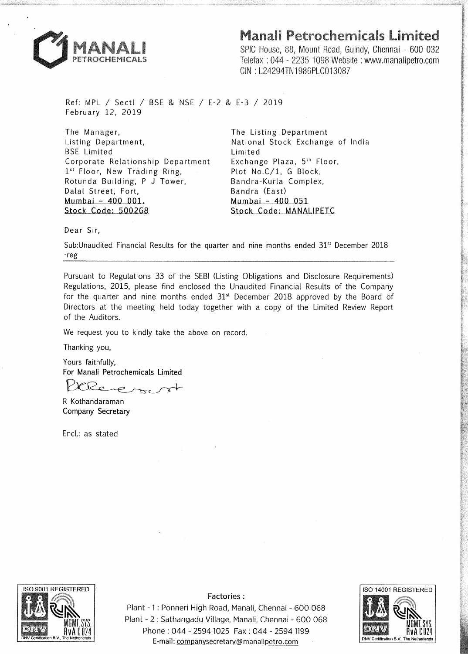## Manali Petrochemicals Limited



SPIC House, 88, Mount Road, Guindy, Chennai - 600 032 Telefax : 044 - 2235 1098 Website : www.manalipetro.com GIN : L24294TN1986PLC013087

Ref: MPL *I* Sectl *I* BSE & NSE *I* E-2 & E-3 *I* 2019 February 12, 2019

The Manager, Listing Department, BSE Limited Corporate Relationship Department 1st Floor, New Trading Ring, Rotunda Building, P J Tower, Dalal Street, Fort,  $Mumbai - 400 001.$ Stock Code: 500268

The Listing Department National Stock Exchange of India Limited Exchange Plaza, 5th Floor, Plot No.C/1, G Block, Bandra-Kurla Complex, Bandra (East)  $Mumbai - 400$  051 Stock Code: MANALIPETC

Dear Sir,

Sub: Unaudited Financial Results for the quarter and nine months ended  $31<sup>st</sup>$  December 2018 -reg

Pursuant to Regulations 33 of the SEBI (Listing Obligations and Disclosure Requirements) Regulations, 2015, please find enclosed the Unaudited Financial Results of the Company for the quarter and nine months ended 31<sup>st</sup> December 2018 approved by the Board of Directors at the meeting held today together with a copy of the Limited Review Report of the Auditors.

We request you to kindly take the above on record.

Thanking you,

Yours faithfully, For Manali Petrochemicals Limited

Re

R Kothandaraman Company Secretary

Encl.: as stated



Factories:

Plant - 1 : Ponneri High Road, Manali, Chennai - 600 068 Plant - 2 : Sathangadu Village, Manali, Chennai - 600 068 Phone : 044 - 2594 1025 Fax : 044 - 2594 1199 E-mail: companysecretary@manalipetro.com **DNV Certification** 

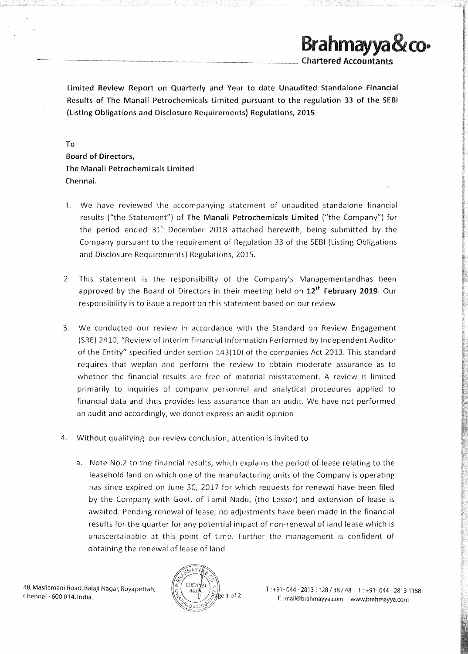Limited Review Report on Quarterly and Year to date Unaudited Standalone Financial Results of The Manali Petrochemicals Limited pursuant to the regulation 33 of the SEBI (Listing Obligations and Disclosure Requirements) Regulations, 2015

To

Board of Directors, The Manali Petrochemicals Limited Chennai.

- L We have reviewed the accompanying statement of unaudited standalone financial results ("the Statement") of The Manali Petrochemicals Limited ("the Company") for the period ended  $31<sup>st</sup>$  December 2018 attached herewith, being submitted by the Company pursuant to the requirement of Regulation 33 of the SEBI (Listing Obligations and Disclosure Requirements) Regulations, 2015.
- 2. This statement is the responsibility of the Company's Managementandhas been approved by the Board of Directors in their meeting held on  $12<sup>th</sup>$  February 2019. Our responsibility is to issue a report on this statement based on our review
- 3. We conducted our review in accordance with the Standard on Review Engagement (SRE) 2410, "Review of Interim Financial Information Performed by Independent Auditor of the Entity" specified under section 143(10) of the companies Act 2013. This standard requires that weplan and perform the review to obtain moderate assurance as to whether the financial results are free of material misstatement. A review is limited primarily to inquiries of company personnel and analytical procedures applied to financial data and thus provides less assurance than an audit. We have not performed an audit and accordingly, we donot express an audit opinion
- 4. Without qualifying our review conclusion, attention is invited to
	- a. Note No.2 to the financial results, which explains the period of lease relating to the leasehold land on which one of the manufacturing units of the Company is operating has since expired on June 30, 2017 for which requests for renewal have been filed by the Company with Govt. of Tamil Nadu, (the Lessor) and extension of lease is awaited. Pending renewal of lease, no adjustments have been made in the financial results for the quarter for any potential impact of non-renewal of land lease which is unascertainable at this point of time. Further the management is confident of obtaining the renewal of lease of land.



T:+91 .. 044-28131128/38/48 I F:+91-044-28131158 E: rnail@brahmayya.com I www.brahmayya.com

**Brahmayya&co·** 

-Chartered Accountants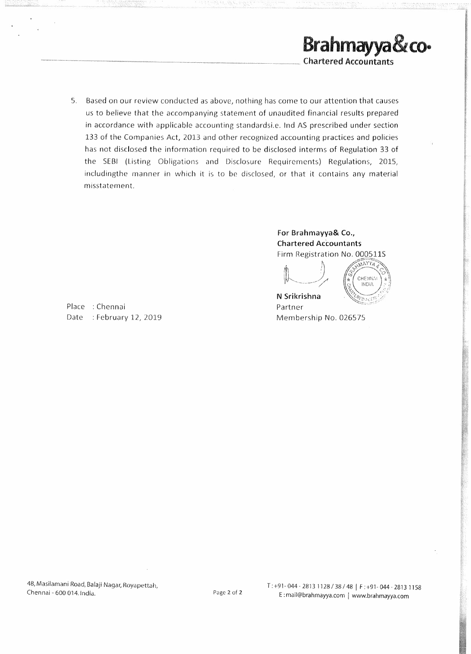

5. Based on our review conducted as above, nothing has come to our attention that causes us to believe that the accompanying statement of unaudited financial results prepared in accordance with applicable accounting standardsi.e. Ind AS prescribed under section 133 of the Companies Act, 2013 and other recognized accounting practices and policies has not disclosed the information required to be disclosed interms of Regulation 33 of the SEBI (Listing Obligations and Disclosure Requirements) Regulations, 2015, includingthe manner in which it is to be disclosed, or that it contains any material misstatement.

> **For Brahmayya& Co., Chartered Accountants**  Firm Registration No. 000511S



**Inchester** 

Place : Chennai Date : February 12, 2019 N Srikrishna Partner Membership No. 026575

48, Masilamani Road, Balaji Nagar, Royapettah, Chennai - 600 014. India. Page 2 of 2

T:+91-044·28131128/38/48 j F:+91·044-28131158 E: mail@brahmayya.com | www.brahmayya.com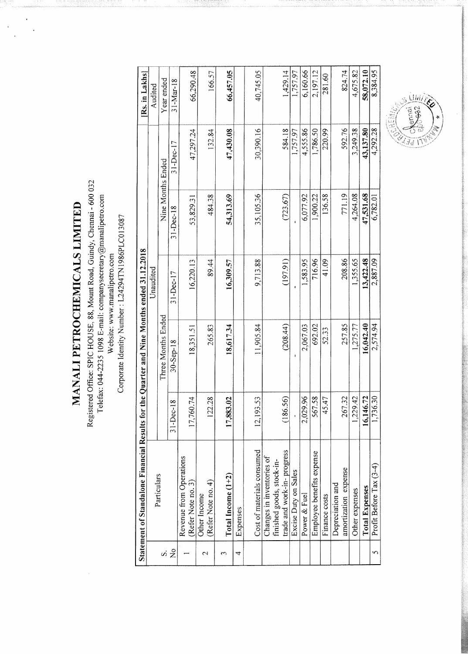MANALI PETROCHEMICALS LIMITED

 $\ddot{\phantom{0}}$  $\frac{1}{2}$ 

 $\frac{1}{2}$ 

Registered Office: SPIC HOUSE, 88, Mount Road, Guindy, Chennai - 600 032<br>Telefax: 044-2235 1098 E-mail: companysecretary@manalipetro.com<br>Website: www.manalipetro.com<br>Corporate Identity Number : L24294TN1986PLC013087

|                         | Statement of Standalone Financial Results for           |                | the Quarter and Nine Months ended 31.12.2018 |               |                   |               | [Rs. in Lakhs] |
|-------------------------|---------------------------------------------------------|----------------|----------------------------------------------|---------------|-------------------|---------------|----------------|
|                         | Particulars                                             |                |                                              | Unaudited     |                   |               | Audited        |
| S                       |                                                         |                | Three Months Ended                           |               | Nine Months Ended |               | Year ended     |
| $\frac{1}{2}$           |                                                         | $31 - Dec-18$  | $30 -$ Sep-18                                | $31 - Dec-17$ | $31 - Dec-18$     | $31 - Dec-17$ | $31-Mar-18$    |
|                         | Revenue from Operations<br>(Refer Note no. 3)           | 1,74<br>17,760 | 18,351.51                                    | 16,220.13     | 53,829.3          | 47,297.24     | 66,290.48      |
| 2                       | (Refer Note no. 4)<br>Other Income                      | 28<br>122      | 265.83                                       | 89.44         | 484.38            | 132.84        | 166.57         |
| S                       | Total Income $(1+2)$                                    | 17,883.02      | 18,617.34                                    | 16,309.57     | 54,313.69         | 47,430.08     | 66,457.05      |
| 4                       | Expenses                                                |                |                                              |               |                   |               |                |
|                         | Cost of materials consumed                              | 53.<br>12,193  | 11,905.84                                    | 9,713.88      | 35,105.36         | 30,390.16     | 40,745.05      |
|                         | Changes in inventories of                               |                |                                              |               |                   |               |                |
|                         | trade and work-in-progress<br>finished goods, stock-in- | 56)<br>(186.   | (208.44)                                     | (197.91)      | (723.67)          | 584.18        | 1,429.14       |
|                         | Excise Duty on Sales                                    |                |                                              |               |                   | 1,757.97      | 1,757.97       |
|                         | Power & Fuel                                            | 2,029.96       | 2,067.03                                     | 1,583.95      | 6,077.92          | 4,555.86      | 6,160.66       |
|                         | Employee benefits expense                               | 567.58         | 692.02                                       | 716.96        | 1,900.22          | 1,786.50      | 2,197.12       |
|                         | Finance costs                                           | 47<br>45       | 52.33                                        | 41.09         | 136.58            | 220.99        | 281.60         |
|                         | Depreciation and                                        |                |                                              |               | 771.19            | 592.76        |                |
|                         | amortization expense                                    | 267.32         | 257.85                                       | 208.86        |                   |               | 824.74         |
|                         | Other expenses                                          | 1,229.42       | 1,275.77                                     | 1,355.65      | 4,264.08          | 3,249.38      | 4,675.82       |
|                         | <b>Total Expenses</b>                                   | 16,146.72      | 16,042.40                                    | 13,422.48     | 47,531.68         | 43,137.80     | 58,072.10      |
| $\mathbf{\overline{5}}$ | Profit Before Tax (3-4)                                 | 1,736.30       | 2,574.94                                     | 2,887.09      | 6,782.01          | 4,292.28      | 8,384.95       |

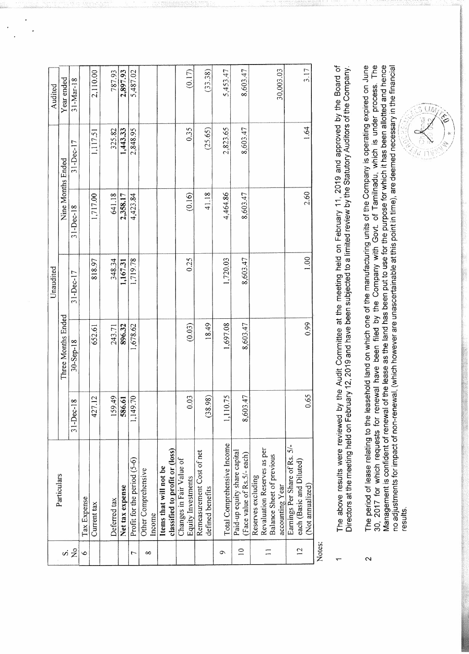|                 |                                                             |                       |                    | Unaudited     |                   |             | Audited         |
|-----------------|-------------------------------------------------------------|-----------------------|--------------------|---------------|-------------------|-------------|-----------------|
|                 | Particulars                                                 |                       | Three Months Ended |               | Nine Months Ended |             | Year ended      |
| vi 2            |                                                             | $31 - Dec-18$         | $30 -$ Sep-18      | $31 - Dec-17$ | $31 - Dec-18$     | $31-Dec-17$ | $31 - Max - 18$ |
| $\circ$         | Tax Expense                                                 |                       |                    |               |                   |             |                 |
|                 | Current tax                                                 | 427.12                | 652.61             | 818.97        | 1,717.00          | 1,117.51    | 2,110.00        |
|                 | Deferred tax                                                | 59.49                 | 243.71             | 348.34        | 641.18            | 325.82      | 787.93          |
|                 | Net tax expense                                             | 586.61                | 896.32             | 1,167.31      | 2,358.17          | 1,443.33    | 2,897.93        |
| $\overline{ }$  | Profit for the period (5-6)                                 | 1,149.70              | 1,678.62           | 1,719.78      | 4,423.84          | 2,848.95    | 5,487.02        |
| ∞               | Other Comprehensive<br>Income                               |                       |                    |               |                   |             |                 |
|                 |                                                             |                       |                    |               |                   |             |                 |
|                 | Items that will not be                                      |                       |                    |               |                   |             |                 |
|                 | classified to profit or (loss)                              |                       |                    |               |                   |             |                 |
|                 | Changes in Fair Value of<br>Equity Investments              | 0.03                  | (0.03)             | 0.25          | (0.16)            | 0.35        | (0.17)          |
|                 | Remeasurement Cost of net                                   |                       |                    |               |                   |             |                 |
|                 | defined benefits                                            | (8.98)                | 18.49              |               | 41.18             | (25.65)     | (33.38)         |
| Ó               | Total Comprehensive Income                                  | 10.75<br>$\mathbf{L}$ | 1,697.08           | 1,720.03      | 4,464.86          | 2,823.65    | 5,453.47        |
| $\overline{10}$ | Paid-up equity share capital<br>(Face value of Rs.5/- each) | 8,603.47              | 8,603.47           | 8,603.47      | 8,603.47          | 8,603.47    | 8,603.47        |
|                 | Reserves excluding                                          |                       |                    |               |                   |             |                 |
|                 | Revaluation Reserves as per                                 |                       |                    |               |                   |             |                 |
|                 | <b>Balance Sheet of previous</b>                            |                       |                    |               |                   |             |                 |
|                 | accounting Year                                             |                       |                    |               |                   |             | 30.003.03       |
|                 | Earnings Per Share of Rs. 5/-                               |                       |                    |               |                   |             |                 |
| $\overline{12}$ | each (Basic and Diluted)                                    |                       |                    |               |                   |             |                 |
|                 | (Not annualized)                                            | 0.65                  | 0.99               | 1.00          | 2.60              | 1.64        | 3.17            |
|                 |                                                             |                       |                    |               |                   |             |                 |

Notes:

 $\overline{\mathsf{N}}$ 

- The above results were reviewed by the Audit Committee at the meeting held on February 11, 2019 and approved by the Board of<br>Directors at the meeting held on February 12, 2019 and have been subjected to a limited review by
- Management is confident of renewal of the lease as the land has been put to use for the purpose for which it has been allotted and hence<br>no adjustments for impact of non-renewal, (which however are unascertainable at this The period of lease relating to the leasehold land on which one of the manufacturing units of the Company is operating expired on June 30, 2017 for which requests for renewal have been filed by the Company with Govt. of Tamilnadu, which is under process. The results.